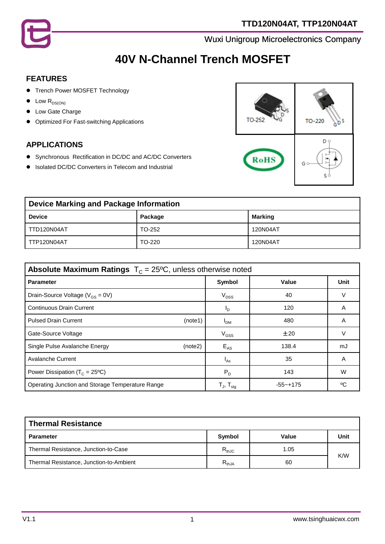

# **40V N-Channel Trench MOSFET**

#### **FEATURES**

- **Trench Power MOSFET Technology**
- $\bullet$  Low  $R_{DS(ON)}$
- **•** Low Gate Charge
- **•** Optimized For Fast-switching Applications

## **APPLICATIONS**

- Synchronous Rectification in DC/DC and AC/DC Converters
- Isolated DC/DC Converters in Telecom and Industrial



| <b>Device Marking and Package Information</b> |         |          |  |
|-----------------------------------------------|---------|----------|--|
| <b>Device</b>                                 | Package | Marking  |  |
| TTD120N04AT                                   | TO-252  | 120N04AT |  |
| TTP120N04AT                                   | TO-220  | 120N04AT |  |

| <b>Absolute Maximum Ratings</b> $T_c = 25^{\circ}C$ , unless otherwise noted |                                       |              |             |
|------------------------------------------------------------------------------|---------------------------------------|--------------|-------------|
| <b>Parameter</b>                                                             | Symbol                                | Value        | <b>Unit</b> |
| Drain-Source Voltage ( $V_{GS} = 0V$ )                                       | $V_{DSS}$                             | 40           |             |
| <b>Continuous Drain Current</b>                                              | I <sub>D</sub>                        | 120          | Α           |
| <b>Pulsed Drain Current</b><br>(note1)                                       | <b>I<sub>DM</sub></b>                 | 480          | A           |
| Gate-Source Voltage                                                          | $V_{GSS}$                             | ±20          | V           |
| Single Pulse Avalanche Energy<br>(note2)                                     | $E_{AS}$                              | 138.4        | mJ          |
| <b>Avalanche Current</b>                                                     | $I_{AS}$                              | 35           | Α           |
| Power Dissipation ( $T_c = 25^{\circ}C$ )                                    | $P_{D}$                               | 143          | W           |
| Operating Junction and Storage Temperature Range                             | ${\sf T}_{\sf J},\,{\sf T}_{\sf stg}$ | $-55 - +175$ | ٥C          |

| <b>Thermal Resistance</b>               |            |       |      |
|-----------------------------------------|------------|-------|------|
| <b>Parameter</b>                        | Symbol     | Value | Unit |
| Thermal Resistance, Junction-to-Case    | $R_{thJC}$ | 1.05  | K/W  |
| Thermal Resistance, Junction-to-Ambient | $R_{thJA}$ | 60    |      |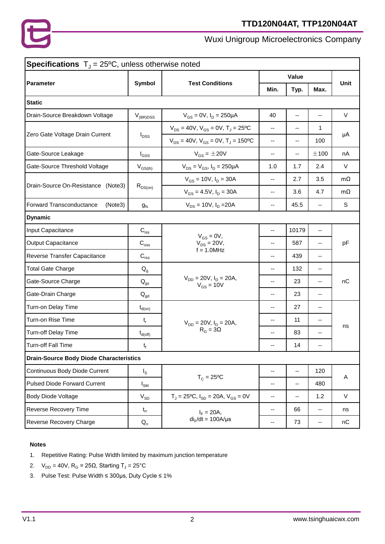

| <b>Test Conditions</b><br>Symbol<br><b>Parameter</b><br>Min.<br><b>Static</b><br>Drain-Source Breakdown Voltage<br>$V_{GS} = 0V$ , $I_D = 250 \mu A$<br>40<br>$V_{(BR)DSS}$<br>$V_{DS} = 40V$ , $V_{GS} = 0V$ , $T_J = 25^{\circ}C$<br>--<br>Zero Gate Voltage Drain Current<br>$I_{DSS}$<br>$V_{DS} = 40V$ , $V_{GS} = 0V$ , $T_J = 150^{\circ}C$<br>--<br>$V_{GS} = \pm 20V$<br>Gate-Source Leakage<br>$I_{GSS}$<br>$\overline{\phantom{a}}$<br>$V_{DS} = V_{GS}$ , $I_D = 250 \mu A$<br>Gate-Source Threshold Voltage<br>1.0<br>$\rm V_{GS(th)}$<br>$V_{GS}$ = 10V, $I_D$ = 30A<br>--<br>Drain-Source On-Resistance (Note3)<br>$R_{DS(on)}$<br>$V_{GS} = 4.5V$ , $I_D = 30A$<br>-- | Value<br>Typ.<br>$\qquad \qquad \cdots$<br>--<br>--<br>-- | Max.<br>--<br>1 | <b>Unit</b><br>V |
|---------------------------------------------------------------------------------------------------------------------------------------------------------------------------------------------------------------------------------------------------------------------------------------------------------------------------------------------------------------------------------------------------------------------------------------------------------------------------------------------------------------------------------------------------------------------------------------------------------------------------------------------------------------------------------------|-----------------------------------------------------------|-----------------|------------------|
|                                                                                                                                                                                                                                                                                                                                                                                                                                                                                                                                                                                                                                                                                       |                                                           |                 |                  |
|                                                                                                                                                                                                                                                                                                                                                                                                                                                                                                                                                                                                                                                                                       |                                                           |                 |                  |
|                                                                                                                                                                                                                                                                                                                                                                                                                                                                                                                                                                                                                                                                                       |                                                           |                 |                  |
|                                                                                                                                                                                                                                                                                                                                                                                                                                                                                                                                                                                                                                                                                       |                                                           |                 |                  |
|                                                                                                                                                                                                                                                                                                                                                                                                                                                                                                                                                                                                                                                                                       |                                                           |                 |                  |
|                                                                                                                                                                                                                                                                                                                                                                                                                                                                                                                                                                                                                                                                                       |                                                           | 100             | μA               |
|                                                                                                                                                                                                                                                                                                                                                                                                                                                                                                                                                                                                                                                                                       |                                                           | ±100            | nA               |
|                                                                                                                                                                                                                                                                                                                                                                                                                                                                                                                                                                                                                                                                                       | 1.7                                                       | 2.4             | $\vee$           |
|                                                                                                                                                                                                                                                                                                                                                                                                                                                                                                                                                                                                                                                                                       | 2.7                                                       | 3.5             | $m\Omega$        |
|                                                                                                                                                                                                                                                                                                                                                                                                                                                                                                                                                                                                                                                                                       | 3.6                                                       | 4.7             | $m\Omega$        |
| $V_{DS} = 10V$ , $I_D = 20A$<br>Forward Transconductance<br>(Note3)<br>--<br>$g_{fs}$                                                                                                                                                                                                                                                                                                                                                                                                                                                                                                                                                                                                 | 45.5                                                      | --              | S                |
| <b>Dynamic</b>                                                                                                                                                                                                                                                                                                                                                                                                                                                                                                                                                                                                                                                                        |                                                           |                 |                  |
| Input Capacitance<br>$\mathbf{C}_{\text{iss}}$<br>--<br>$V_{GS} = 0V$ ,                                                                                                                                                                                                                                                                                                                                                                                                                                                                                                                                                                                                               | 10179                                                     | --              |                  |
| $V_{DS} = 20V,$<br><b>Output Capacitance</b><br>$\mathbf{C}_\mathrm{oss}$<br>--                                                                                                                                                                                                                                                                                                                                                                                                                                                                                                                                                                                                       | 587                                                       | --              | pF               |
| $f = 1.0 MHz$<br>Reverse Transfer Capacitance<br>$C_{\text{rss}}$<br>--                                                                                                                                                                                                                                                                                                                                                                                                                                                                                                                                                                                                               | 439                                                       | --              |                  |
| <b>Total Gate Charge</b><br>$Q_q$<br>--                                                                                                                                                                                                                                                                                                                                                                                                                                                                                                                                                                                                                                               | 132                                                       | --              |                  |
| $V_{DD} = 20V, I_D = 20A,$<br>Gate-Source Charge<br>$Q_{gs}$<br>$-$<br>$V_{GS} = 10V$                                                                                                                                                                                                                                                                                                                                                                                                                                                                                                                                                                                                 | 23                                                        | $\overline{a}$  | nC               |
| Gate-Drain Charge<br>$\mathsf{Q}_{\mathsf{gd}}$<br>--                                                                                                                                                                                                                                                                                                                                                                                                                                                                                                                                                                                                                                 | 23                                                        | $\frac{1}{2}$   |                  |
| Turn-on Delay Time<br>$t_{d(on)}$<br>--                                                                                                                                                                                                                                                                                                                                                                                                                                                                                                                                                                                                                                               | 27                                                        | ۰.              |                  |
| Turn-on Rise Time<br>$t_r$<br>--<br>$V_{DD} = 20V$ , $I_D = 20A$ ,                                                                                                                                                                                                                                                                                                                                                                                                                                                                                                                                                                                                                    | 11                                                        | --              |                  |
| $R_G = 3\Omega$<br>Turn-off Delay Time<br>--<br>$t_{d(\text{off})}$                                                                                                                                                                                                                                                                                                                                                                                                                                                                                                                                                                                                                   | 83                                                        | --              | ns               |
| Turn-off Fall Time<br>$t_f$<br>$-$                                                                                                                                                                                                                                                                                                                                                                                                                                                                                                                                                                                                                                                    | 14                                                        | --              |                  |
| <b>Drain-Source Body Diode Characteristics</b>                                                                                                                                                                                                                                                                                                                                                                                                                                                                                                                                                                                                                                        |                                                           |                 |                  |
| Continuous Body Diode Current<br>$I_{\rm S}$<br>--                                                                                                                                                                                                                                                                                                                                                                                                                                                                                                                                                                                                                                    | --                                                        | 120             |                  |
| $T_c = 25$ °C<br><b>Pulsed Diode Forward Current</b><br>$I_{\mathsf{SM}}$<br>--                                                                                                                                                                                                                                                                                                                                                                                                                                                                                                                                                                                                       | --                                                        | 480             | A                |
| $T_J = 25$ °C, $I_{SD} = 20A$ , $V_{GS} = 0V$<br><b>Body Diode Voltage</b><br>$V_{SD}$<br>۰.                                                                                                                                                                                                                                                                                                                                                                                                                                                                                                                                                                                          | --                                                        | 1.2             | V                |
| Reverse Recovery Time<br>$t_{rr}$<br>$\overline{\phantom{a}}$<br>$I_F = 20A,$                                                                                                                                                                                                                                                                                                                                                                                                                                                                                                                                                                                                         | 66                                                        | --              | ns               |
| $di_E/dt = 100A/\mu s$<br>Reverse Recovery Charge<br>73<br>$Q_{rr}$<br>--                                                                                                                                                                                                                                                                                                                                                                                                                                                                                                                                                                                                             |                                                           | ۰.              | nC               |

#### **Notes**

- 1. Repetitive Rating: Pulse Width limited by maximum junction temperature
- 2.  $V_{DD} = 40V$ , R<sub>G</sub> = 25 $\Omega$ , Starting T<sub>J</sub> = 25<sup>°</sup>C
- 3. Pulse Test: Pulse Width ≤ 300μs, Duty Cycle ≤ 1%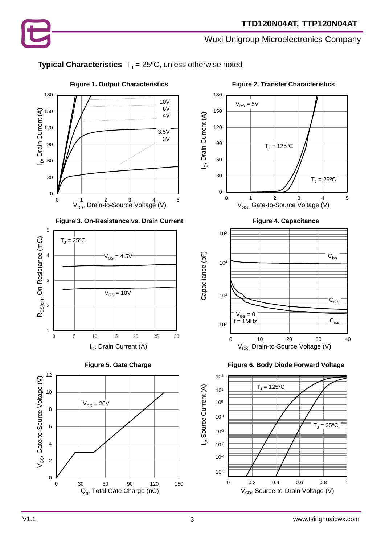

# **Typical Characteristics**  $T_J = 25$ <sup>o</sup>C, unless otherwise noted











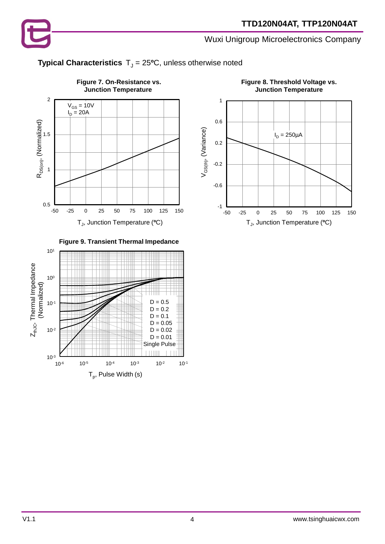







**Figure 9. Transient Thermal Impedance**

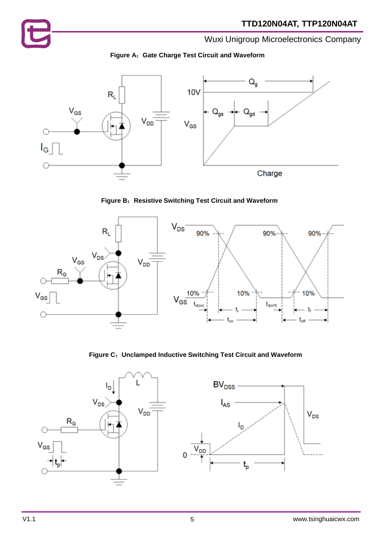







**Figure C**:**Unclamped Inductive Switching Test Circuit and Waveform**

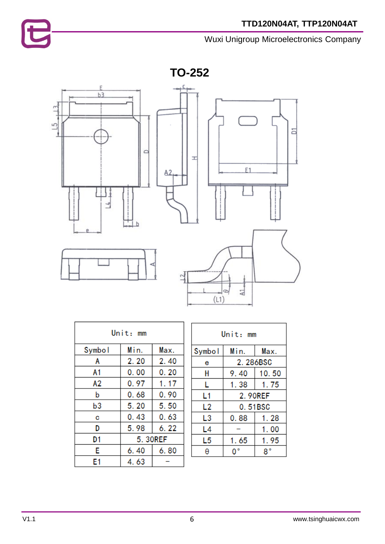

**TO-252**



| Unit: mm |         |      |  |
|----------|---------|------|--|
| Symbol   | Min.    | Max. |  |
| А        | 2.20    | 2.40 |  |
| A1       | 0.00    | 0.20 |  |
| А2       | 0.97    | 1.17 |  |
| b        | 0.68    | 0.90 |  |
| b3       | 5.20    | 5.50 |  |
| с        | 0.43    | 0.63 |  |
| D        | 5.98    | 6.22 |  |
| D1       | 5.30REF |      |  |
| E        | 6.40    | 6.80 |  |
| E1       | 4.63    |      |  |

| Unit: mm |          |       |
|----------|----------|-------|
| Symbol   | Min.     | Max.  |
| е        | 2.286BSC |       |
| Н        | 9.40     | 10.50 |
| L        | 1.38     | 1.75  |
| L1       | 2.90REF  |       |
| L2       | 0.51BSC  |       |
| L3       | 0.88     | 1.28  |
| L4       |          | 1.00  |
| L5       | 1.65     | 1.95  |
|          |          |       |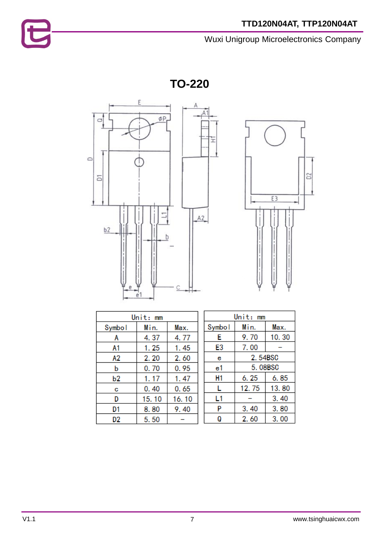**TO-220**





| Unit: mm |       |       |
|----------|-------|-------|
| Symbol   | Min.  | Max.  |
| Α        | 4.37  | 4.77  |
| A1       | 1.25  | 1.45  |
| A2       | 2.20  | 2.60  |
| b        | 0.70  | 0.95  |
| b2       | 1.17  | 1.47  |
| С        | 0.40  | 0.65  |
| D        | 15.10 | 16.10 |
| D1       | 8.80  | 9.40  |
| D2       | 5.50  |       |

| Unit: mm |         |       |
|----------|---------|-------|
| Symbol   | Min.    | Max.  |
| Е        | 9.70    | 10.30 |
| E3       | 7.00    |       |
| е        | 2.54BSC |       |
| e1       | 5.08BSC |       |
| H1       | 6. 25   | 6.85  |
| L        | 12.75   | 13.80 |
| L1       |         | 3.40  |
| P        | 3.40    | 3.80  |
| Q        | 2.60    | 3.00  |

t